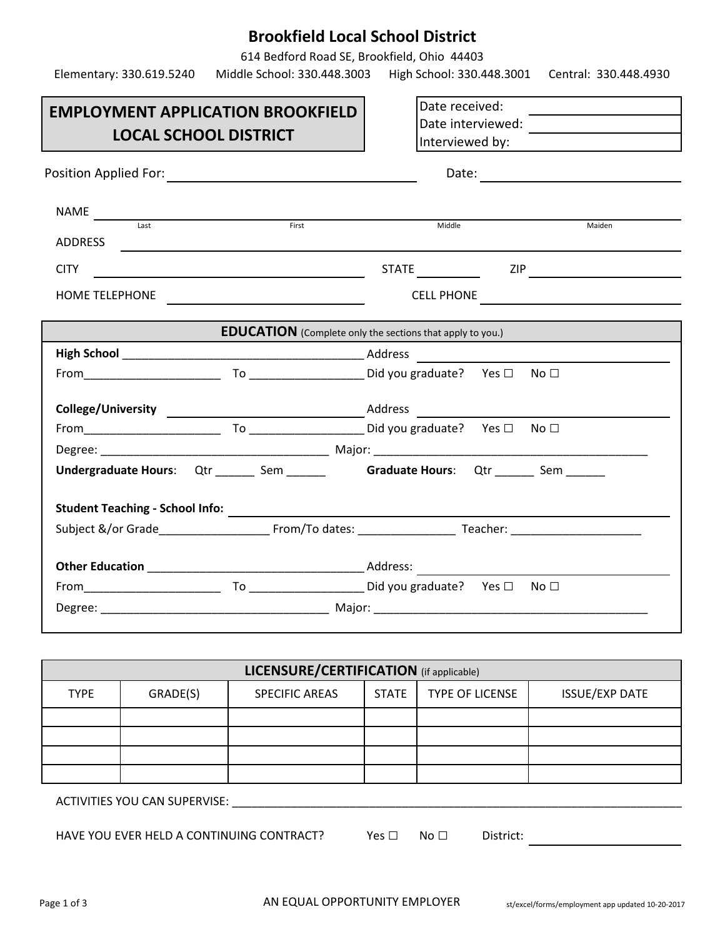# **Brookfield Local School District**

614 Bedford Road SE, Brookfield, Ohio 44403

|                                                                          | Elementary: 330.619.5240 Middle School: 330.448.3003                                                                                                                                                                                 | High School: 330.448.3001 Central: 330.448.4930                                                                                                                                                                                      |
|--------------------------------------------------------------------------|--------------------------------------------------------------------------------------------------------------------------------------------------------------------------------------------------------------------------------------|--------------------------------------------------------------------------------------------------------------------------------------------------------------------------------------------------------------------------------------|
| <b>EMPLOYMENT APPLICATION BROOKFIELD</b><br><b>LOCAL SCHOOL DISTRICT</b> |                                                                                                                                                                                                                                      | Date received:                                                                                                                                                                                                                       |
|                                                                          |                                                                                                                                                                                                                                      |                                                                                                                                                                                                                                      |
| $\begin{array}{c c}\nNAME \hspace{2.5cm} \textbf{Last} \end{array}$      | <b>First Exercise 2008</b>                                                                                                                                                                                                           |                                                                                                                                                                                                                                      |
|                                                                          |                                                                                                                                                                                                                                      | Middle<br>Maiden                                                                                                                                                                                                                     |
|                                                                          | CITY <u>and the contract of the contract of the contract of the contract of the contract of the contract of the contract of the contract of the contract of the contract of the contract of the contract of the contract of the </u> | STATE ZIP                                                                                                                                                                                                                            |
|                                                                          | HOME TELEPHONE TANK THE CONTROL CONTROL TO A CONTROL CONTROL CONTROL CONTROL CONTROL CONTROL CONTROL CONTROL CO                                                                                                                      | CELL PHONE <b>AND A REPORT OF A REPORT OF A REPORT OF A REPORT OF A REPORT OF A REPORT OF A REPORT OF A REPORT OF A REPORT OF A REPORT OF A REPORT OF A REPORT OF A REPORT OF A REPORT OF A REPORT OF A REPORT OF A REPORT OF A </b> |
|                                                                          | <b>EDUCATION</b> (Complete only the sections that apply to you.)                                                                                                                                                                     |                                                                                                                                                                                                                                      |
|                                                                          |                                                                                                                                                                                                                                      |                                                                                                                                                                                                                                      |
|                                                                          |                                                                                                                                                                                                                                      |                                                                                                                                                                                                                                      |
|                                                                          |                                                                                                                                                                                                                                      |                                                                                                                                                                                                                                      |
|                                                                          |                                                                                                                                                                                                                                      | No $\Box$                                                                                                                                                                                                                            |
|                                                                          |                                                                                                                                                                                                                                      |                                                                                                                                                                                                                                      |
|                                                                          |                                                                                                                                                                                                                                      | Undergraduate Hours: Qtr ______ Sem ______ Graduate Hours: Qtr ______ Sem ______                                                                                                                                                     |
| Student Teaching - School Info: _________                                |                                                                                                                                                                                                                                      | <u> 1980 - Andrea Station Barbara, actor a component de la componentación de la componentación de la componentaci</u>                                                                                                                |
|                                                                          |                                                                                                                                                                                                                                      | Subject &/or Grade From/To dates: Teacher: Teacher:                                                                                                                                                                                  |
|                                                                          |                                                                                                                                                                                                                                      |                                                                                                                                                                                                                                      |
|                                                                          |                                                                                                                                                                                                                                      |                                                                                                                                                                                                                                      |
|                                                                          |                                                                                                                                                                                                                                      |                                                                                                                                                                                                                                      |
|                                                                          |                                                                                                                                                                                                                                      |                                                                                                                                                                                                                                      |
|                                                                          | $\blacksquare$                                                                                                                                                                                                                       |                                                                                                                                                                                                                                      |

| <b>LICENSURE/CERTIFICATION</b> (if applicable) |          |                       |                        |                 |                       |  |
|------------------------------------------------|----------|-----------------------|------------------------|-----------------|-----------------------|--|
| <b>TYPE</b>                                    | GRADE(S) | <b>SPECIFIC AREAS</b> | <b>STATE</b>           | TYPE OF LICENSE | <b>ISSUE/EXP DATE</b> |  |
|                                                |          |                       |                        |                 |                       |  |
|                                                |          |                       |                        |                 |                       |  |
|                                                |          |                       |                        |                 |                       |  |
|                                                |          |                       |                        |                 |                       |  |
| ACTIVITIES YOU CAN SUPERVISE:                  |          |                       |                        |                 |                       |  |
| HAVE YOU EVER HELD A CONTINUING CONTRACT?      |          | Yes $\Box$            | District:<br>No $\Box$ |                 |                       |  |
|                                                |          |                       |                        |                 |                       |  |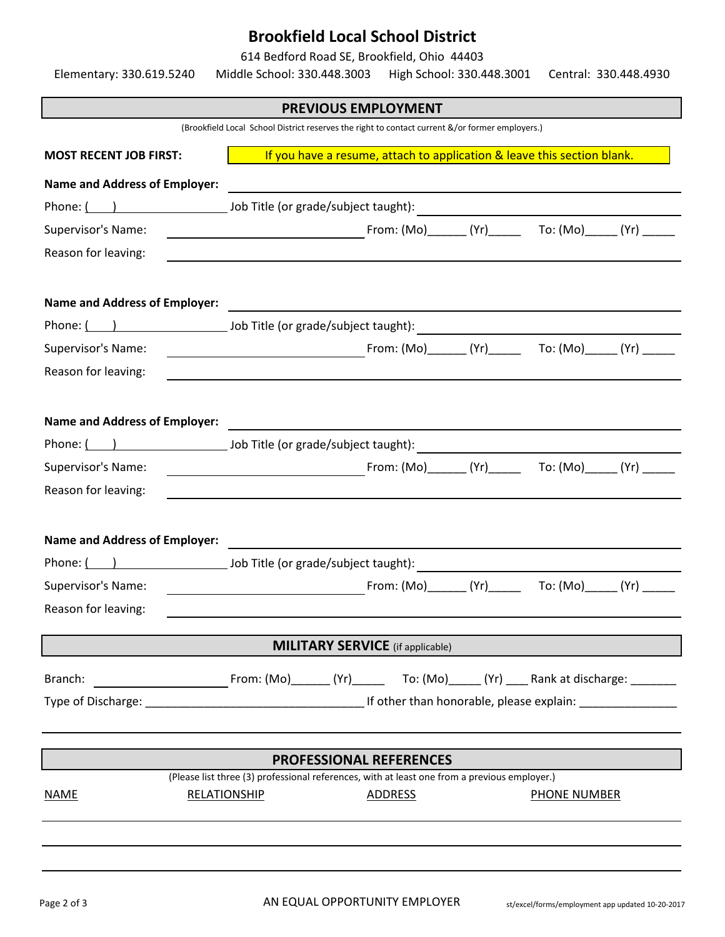### **Brookfield Local School District**

614 Bedford Road SE, Brookfield, Ohio 44403

Elementary: 330.619.5240 Middle School: 330.448.3003 High School: 330.448.3001 Central: 330.448.4930 **PREVIOUS EMPLOYMENT** (Brookfield Local School District reserves the right to contact current &/or former employers.) **MOST RECENT JOB FIRST:** If you have a resume, attach to application & leave this section blank. **Name and Address of Employer:** Phone: ( ) Job Title (or grade/subject taught): Supervisor's Name: The Contract of Contract (Mo) The Contract (Mo) To: (Mo) (Yr) (Yr) Contract (Yr) Contract ( Reason for leaving: **Name and Address of Employer:** Phone: ( ) Job Title (or grade/subject taught): Supervisor's Name: From: (Mo)\_\_\_\_\_\_ (Yr)\_\_\_\_\_ To: (Mo)\_\_\_\_\_ (Yr) \_\_\_\_\_ Reason for leaving: **Name and Address of Employer:** Phone: ( ) Job Title (or grade/subject taught): Supervisor's Name: example and the state of the From: (Mo) \_\_\_\_\_\_ (Yr) \_\_\_\_\_ To: (Mo) (Yr) Reason for leaving: **Name and Address of Employer:** Phone: ( ) Job Title (or grade/subject taught): Supervisor's Name: The Control of Control of Control (Mo) \_\_\_\_\_\_\_ (Yr) \_\_\_\_\_\_ To: (Mo) \_\_\_\_ (Yr) Reason for leaving: **MILITARY SERVICE** (if applicable) Branch: From: (Mo)\_\_\_\_\_\_ (Yr)\_\_\_\_\_ To: (Mo)\_\_\_\_\_ (Yr) \_\_\_\_\_ Rank at discharge: \_\_\_\_\_\_\_ Type of Discharge: \_\_\_\_\_\_\_\_\_\_\_\_\_\_\_\_\_\_\_\_\_\_\_\_\_\_\_\_\_\_\_\_\_\_\_\_If other than honorable, please explain: \_\_\_\_\_\_\_\_\_\_\_\_\_\_\_ **PROFESSIONAL REFERENCES** (Please list three (3) professional references, with at least one from a previous employer.) NAME RELATIONSHIP ADDRESS PHONE NUMBER